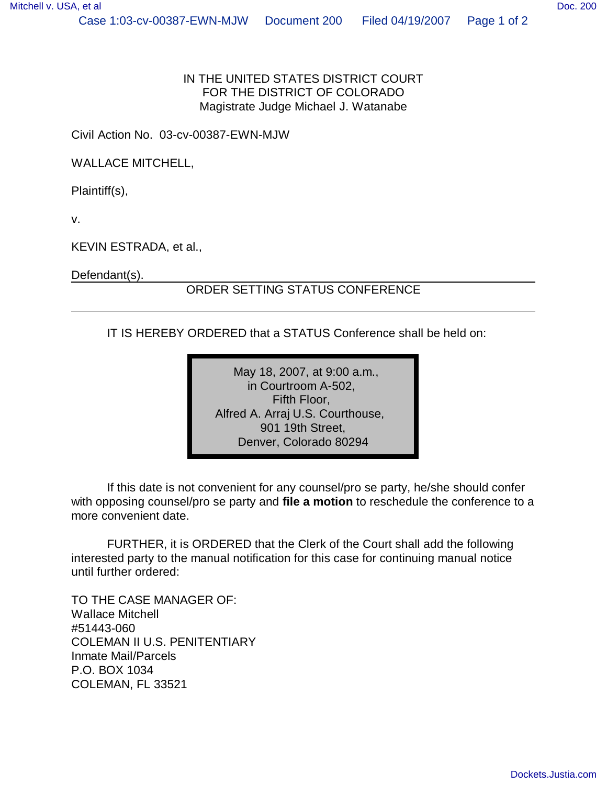## IN THE UNITED STATES DISTRICT COURT FOR THE DISTRICT OF COLORADO Magistrate Judge Michael J. Watanabe

Civil Action No. 03-cv-00387-EWN-MJW

WALLACE MITCHELL,

Plaintiff(s),

v.

KEVIN ESTRADA, et al.,

Defendant(s).

## ORDER SETTING STATUS CONFERENCE

IT IS HEREBY ORDERED that a STATUS Conference shall be held on:

May 18, 2007, at 9:00 a.m., in Courtroom A-502, Fifth Floor, Alfred A. Arraj U.S. Courthouse, 901 19th Street, Denver, Colorado 80294

If this date is not convenient for any counsel/pro se party, he/she should confer with opposing counsel/pro se party and **file a motion** to reschedule the conference to a more convenient date.

FURTHER, it is ORDERED that the Clerk of the Court shall add the following interested party to the manual notification for this case for continuing manual notice until further ordered:

TO THE CASE MANAGER OF: Wallace Mitchell #51443-060 COLEMAN II U.S. PENITENTIARY Inmate Mail/Parcels P.O. BOX 1034 COLEMAN, FL 33521